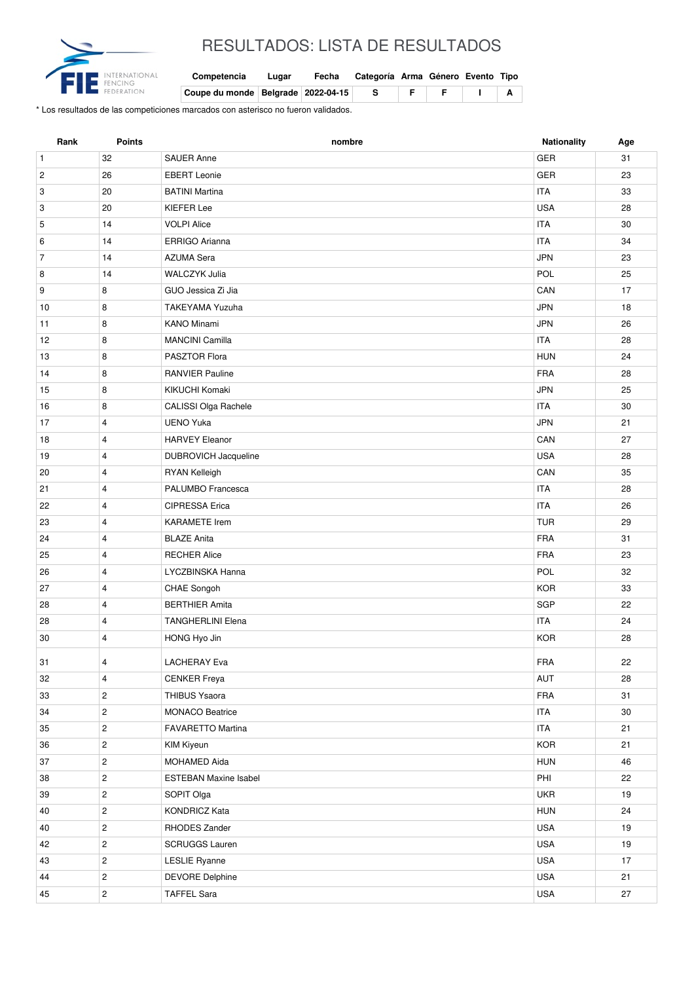

## RESULTADOS: LISTA DE RESULTADOS

| Competencia | Lugar | Fecha | Categoría Arma Género Evento Tipo |  |  |
|-------------|-------|-------|-----------------------------------|--|--|
|             |       |       |                                   |  |  |

| ERATIO | Coupe du monde Belgrade 2022-04-15 |  |  |  |  |
|--------|------------------------------------|--|--|--|--|

\* Los resultados de las competiciones marcados con asterisco no fueron validados.

| Rank           | <b>Points</b>  | nombre                       | Nationality | Age |
|----------------|----------------|------------------------------|-------------|-----|
| $\mathbf{1}$   | 32             | <b>SAUER Anne</b>            | <b>GER</b>  | 31  |
| $\overline{c}$ | 26             | <b>EBERT</b> Leonie          | <b>GER</b>  | 23  |
| 3              | 20             | <b>BATINI Martina</b>        | <b>ITA</b>  | 33  |
| 3              | 20             | KIEFER Lee                   | <b>USA</b>  | 28  |
| 5              | 14             | <b>VOLPI Alice</b>           | <b>ITA</b>  | 30  |
| 6              | 14             | ERRIGO Arianna               | <b>ITA</b>  | 34  |
| $\overline{7}$ | 14             | <b>AZUMA Sera</b>            | <b>JPN</b>  | 23  |
| 8              | 14             | <b>WALCZYK Julia</b>         | POL         | 25  |
| 9              | 8              | GUO Jessica Zi Jia           | CAN         | 17  |
| 10             | 8              | <b>TAKEYAMA Yuzuha</b>       | <b>JPN</b>  | 18  |
| 11             | 8              | <b>KANO Minami</b>           | <b>JPN</b>  | 26  |
| 12             | 8              | <b>MANCINI Camilla</b>       | <b>ITA</b>  | 28  |
| 13             | 8              | PASZTOR Flora                | <b>HUN</b>  | 24  |
| 14             | 8              | <b>RANVIER Pauline</b>       | <b>FRA</b>  | 28  |
| 15             | 8              | KIKUCHI Komaki               | <b>JPN</b>  | 25  |
| 16             | 8              | CALISSI Olga Rachele         | <b>ITA</b>  | 30  |
| 17             | $\overline{4}$ | <b>UENO Yuka</b>             | <b>JPN</b>  | 21  |
| 18             | $\overline{4}$ | <b>HARVEY Eleanor</b>        | CAN         | 27  |
| 19             | $\overline{4}$ | <b>DUBROVICH Jacqueline</b>  | <b>USA</b>  | 28  |
| 20             | $\overline{4}$ | RYAN Kelleigh                | CAN         | 35  |
| 21             | $\overline{4}$ | PALUMBO Francesca            | <b>ITA</b>  | 28  |
| 22             | $\overline{4}$ | CIPRESSA Erica               | <b>ITA</b>  | 26  |
| 23             | $\overline{4}$ | <b>KARAMETE</b> Irem         | <b>TUR</b>  | 29  |
| 24             | $\overline{4}$ | <b>BLAZE Anita</b>           | <b>FRA</b>  | 31  |
| 25             | $\overline{4}$ | <b>RECHER Alice</b>          | <b>FRA</b>  | 23  |
| 26             | $\overline{4}$ | LYCZBINSKA Hanna             | POL         | 32  |
| 27             | $\overline{4}$ | CHAE Songoh                  | <b>KOR</b>  | 33  |
| 28             | $\overline{4}$ | <b>BERTHIER Amita</b>        | <b>SGP</b>  | 22  |
| 28             | $\overline{4}$ | <b>TANGHERLINI Elena</b>     | <b>ITA</b>  | 24  |
| 30             | $\overline{4}$ | HONG Hyo Jin                 | <b>KOR</b>  | 28  |
| 31             | 4              | <b>LACHERAY Eva</b>          | FRA         | 22  |
| 32             | $\overline{4}$ | <b>CENKER Freya</b>          | AUT         | 28  |
| 33             | $\overline{2}$ | THIBUS Ysaora                | FRA         | 31  |
| 34             | $\overline{c}$ | <b>MONACO Beatrice</b>       | <b>ITA</b>  | 30  |
| 35             | $\sqrt{2}$     | FAVARETTO Martina            | <b>ITA</b>  | 21  |
| 36             | $\sqrt{2}$     | KIM Kiyeun                   | KOR         | 21  |
| 37             | $\overline{c}$ | MOHAMED Aida                 | <b>HUN</b>  | 46  |
| 38             | $\overline{c}$ | <b>ESTEBAN Maxine Isabel</b> | PHI         | 22  |
| 39             | $\overline{c}$ | SOPIT Olga                   | <b>UKR</b>  | 19  |
| 40             | $\overline{c}$ | <b>KONDRICZ Kata</b>         | <b>HUN</b>  | 24  |
| 40             | $\overline{c}$ | RHODES Zander                | USA         | 19  |
| 42             | $\overline{2}$ | <b>SCRUGGS Lauren</b>        | <b>USA</b>  | 19  |
| 43             | $\overline{c}$ | <b>LESLIE Ryanne</b>         | USA         | 17  |
| 44             | $\overline{2}$ | <b>DEVORE Delphine</b>       | <b>USA</b>  | 21  |
| 45             | $\mathbf{2}$   | <b>TAFFEL Sara</b>           | <b>USA</b>  | 27  |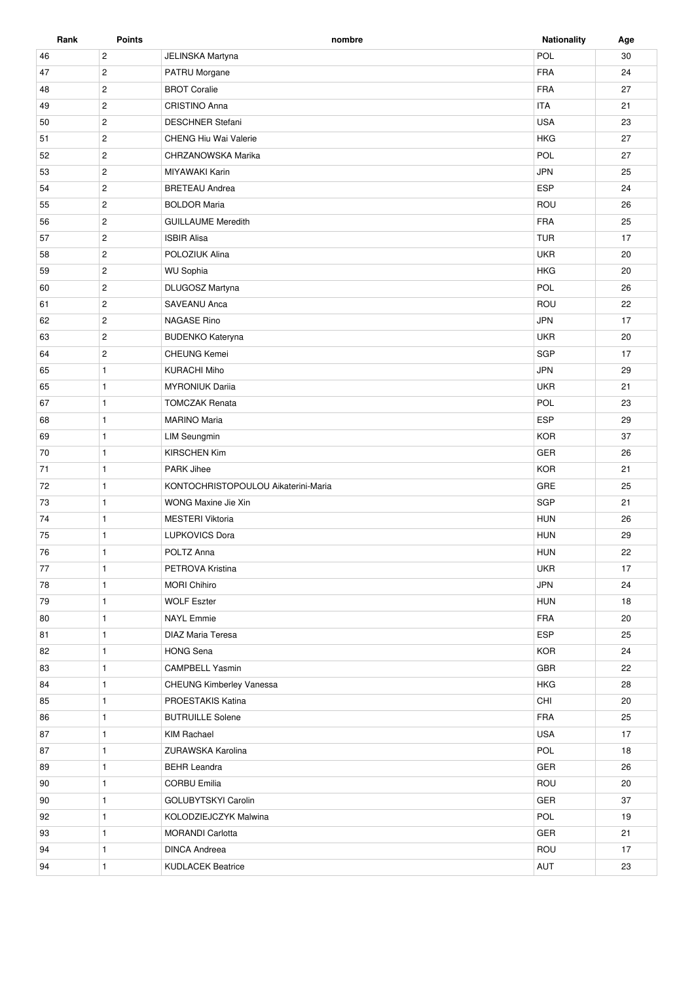| Rank | <b>Points</b>  | nombre                              | <b>Nationality</b> | Age |
|------|----------------|-------------------------------------|--------------------|-----|
| 46   | $\overline{c}$ | JELINSKA Martyna                    | POL                | 30  |
| 47   | $\overline{c}$ | PATRU Morgane                       | <b>FRA</b>         | 24  |
| 48   | $\overline{c}$ | <b>BROT Coralie</b>                 | <b>FRA</b>         | 27  |
| 49   | $\overline{c}$ | <b>CRISTINO Anna</b>                | <b>ITA</b>         | 21  |
| 50   | $\mathbf{2}$   | <b>DESCHNER Stefani</b>             | <b>USA</b>         | 23  |
| 51   | $\overline{c}$ | CHENG Hiu Wai Valerie               | <b>HKG</b>         | 27  |
| 52   | $\mathbf{2}$   | CHRZANOWSKA Marika                  | POL                | 27  |
| 53   | $\overline{2}$ | <b>MIYAWAKI Karin</b>               | <b>JPN</b>         | 25  |
| 54   | $\overline{2}$ | <b>BRETEAU Andrea</b>               | ESP                | 24  |
| 55   | $\overline{2}$ | <b>BOLDOR Maria</b>                 | ROU                | 26  |
| 56   | $\overline{c}$ | <b>GUILLAUME Meredith</b>           | FRA                | 25  |
| 57   | $\mathbf{2}$   | <b>ISBIR Alisa</b>                  | <b>TUR</b>         | 17  |
| 58   | $\overline{2}$ | POLOZIUK Alina                      | <b>UKR</b>         | 20  |
| 59   | $\mathbf{2}$   | <b>WU Sophia</b>                    | <b>HKG</b>         | 20  |
|      |                |                                     | POL                | 26  |
| 60   | $\overline{c}$ | DLUGOSZ Martyna                     |                    |     |
| 61   | $\overline{c}$ | <b>SAVEANU Anca</b>                 | ROU                | 22  |
| 62   | $\overline{c}$ | <b>NAGASE Rino</b>                  | <b>JPN</b>         | 17  |
| 63   | $\overline{c}$ | <b>BUDENKO Kateryna</b>             | <b>UKR</b>         | 20  |
| 64   | $\overline{2}$ | <b>CHEUNG Kemei</b>                 | SGP                | 17  |
| 65   | $\mathbf{1}$   | <b>KURACHI Miho</b>                 | <b>JPN</b>         | 29  |
| 65   | $\mathbf{1}$   | <b>MYRONIUK Darija</b>              | <b>UKR</b>         | 21  |
| 67   | $\mathbf{1}$   | <b>TOMCZAK Renata</b>               | POL                | 23  |
| 68   | $\mathbf{1}$   | <b>MARINO Maria</b>                 | <b>ESP</b>         | 29  |
| 69   | $\mathbf{1}$   | <b>LIM Seungmin</b>                 | <b>KOR</b>         | 37  |
| 70   | $\mathbf{1}$   | <b>KIRSCHEN Kim</b>                 | GER                | 26  |
| 71   | $\mathbf{1}$   | <b>PARK Jihee</b>                   | <b>KOR</b>         | 21  |
| 72   | $\mathbf{1}$   | KONTOCHRISTOPOULOU Aikaterini-Maria | GRE                | 25  |
| 73   | $\mathbf{1}$   | WONG Maxine Jie Xin                 | SGP                | 21  |
| 74   | $\mathbf{1}$   | <b>MESTERI Viktoria</b>             | <b>HUN</b>         | 26  |
| 75   | $\mathbf{1}$   | <b>LUPKOVICS Dora</b>               | <b>HUN</b>         | 29  |
| 76   | $\mathbf{1}$   | POLTZ Anna                          | <b>HUN</b>         | 22  |
| 77   | $\mathbf{1}$   | PETROVA Kristina                    | <b>UKR</b>         | 17  |
| 78   | $\mathbf{1}$   | <b>MORI Chihiro</b>                 | <b>JPN</b>         | 24  |
| 79   | $\mathbf{1}$   | <b>WOLF Eszter</b>                  | <b>HUN</b>         | 18  |
| 80   | $\mathbf{1}$   | <b>NAYL</b> Emmie                   | FRA                | 20  |
| 81   | $\mathbf{1}$   | <b>DIAZ Maria Teresa</b>            | ESP                | 25  |
| 82   | $\mathbf{1}$   | <b>HONG Sena</b>                    | <b>KOR</b>         | 24  |
| 83   | $\mathbf{1}$   | <b>CAMPBELL Yasmin</b>              | GBR                | 22  |
| 84   | $\mathbf{1}$   | CHEUNG Kimberley Vanessa            | <b>HKG</b>         | 28  |
| 85   | $\mathbf{1}$   | PROESTAKIS Katina                   | CHI                | 20  |
| 86   | $\mathbf{1}$   | <b>BUTRUILLE Solene</b>             | <b>FRA</b>         | 25  |
| 87   | $\mathbf{1}$   | <b>KIM Rachael</b>                  | <b>USA</b>         | 17  |
| 87   | $\mathbf{1}$   | ZURAWSKA Karolina                   | POL                | 18  |
|      |                |                                     |                    |     |
| 89   | $\mathbf{1}$   | <b>BEHR Leandra</b>                 | GER                | 26  |
| 90   | $\mathbf{1}$   | <b>CORBU Emilia</b>                 | ROU                | 20  |
| 90   | $\mathbf{1}$   | GOLUBYTSKYI Carolin                 | GER                | 37  |
| 92   | $\mathbf{1}$   | KOLODZIEJCZYK Malwina               | POL                | 19  |
| 93   | $\mathbf{1}$   | <b>MORANDI Carlotta</b>             | GER                | 21  |
| 94   | $\mathbf{1}$   | <b>DINCA Andreea</b>                | ROU                | 17  |
| 94   | $\mathbf{1}$   | <b>KUDLACEK Beatrice</b>            | AUT                | 23  |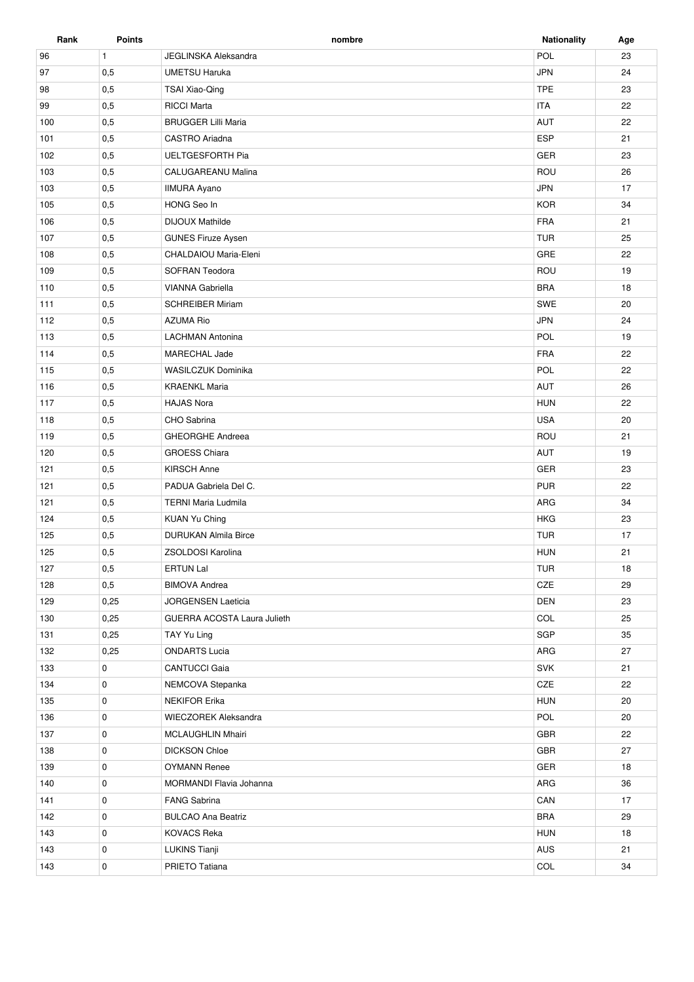| Rank | <b>Points</b> | nombre                             | <b>Nationality</b> | Age |
|------|---------------|------------------------------------|--------------------|-----|
| 96   | $\mathbf{1}$  | <b>JEGLINSKA Aleksandra</b>        | POL                | 23  |
| 97   | 0,5           | <b>UMETSU Haruka</b>               | <b>JPN</b>         | 24  |
| 98   | 0,5           | TSAI Xiao-Qing                     | <b>TPE</b>         | 23  |
| 99   | 0,5           | <b>RICCI Marta</b>                 | <b>ITA</b>         | 22  |
| 100  | 0,5           | <b>BRUGGER Lilli Maria</b>         | AUT                | 22  |
| 101  | 0,5           | CASTRO Ariadna                     | <b>ESP</b>         | 21  |
| 102  | 0,5           | <b>UELTGESFORTH Pia</b>            | <b>GER</b>         | 23  |
| 103  | 0,5           | CALUGAREANU Malina                 | ROU                | 26  |
| 103  | 0,5           | <b>IIMURA Ayano</b>                | <b>JPN</b>         | 17  |
| 105  | 0,5           | HONG Seo In                        | <b>KOR</b>         | 34  |
| 106  | 0,5           | <b>DIJOUX Mathilde</b>             | <b>FRA</b>         | 21  |
| 107  | 0,5           | <b>GUNES Firuze Aysen</b>          | <b>TUR</b>         | 25  |
| 108  | 0,5           | CHALDAIOU Maria-Eleni              | GRE                | 22  |
| 109  | 0,5           | SOFRAN Teodora                     | ROU                | 19  |
| 110  | 0,5           | VIANNA Gabriella                   | <b>BRA</b>         | 18  |
| 111  | 0,5           | <b>SCHREIBER Miriam</b>            | SWE                | 20  |
| 112  | 0,5           | <b>AZUMA Rio</b>                   | <b>JPN</b>         | 24  |
| 113  | 0,5           | <b>LACHMAN Antonina</b>            | POL                | 19  |
| 114  | 0,5           | MARECHAL Jade                      | <b>FRA</b>         | 22  |
| 115  | 0,5           | WASILCZUK Dominika                 | POL                | 22  |
| 116  | 0,5           | <b>KRAENKL Maria</b>               | <b>AUT</b>         | 26  |
| 117  | 0,5           | <b>HAJAS Nora</b>                  | <b>HUN</b>         | 22  |
| 118  | 0,5           | CHO Sabrina                        | <b>USA</b>         | 20  |
| 119  | 0,5           | GHEORGHE Andreea                   | ROU                | 21  |
| 120  | 0,5           | <b>GROESS Chiara</b>               | AUT                | 19  |
| 121  | 0,5           | <b>KIRSCH Anne</b>                 | <b>GER</b>         | 23  |
| 121  | 0,5           | PADUA Gabriela Del C.              | <b>PUR</b>         | 22  |
| 121  | 0,5           | <b>TERNI Maria Ludmila</b>         | ARG                | 34  |
| 124  | 0,5           | <b>KUAN Yu Ching</b>               | <b>HKG</b>         | 23  |
| 125  | 0,5           | <b>DURUKAN Almila Birce</b>        | <b>TUR</b>         | 17  |
| 125  | 0,5           | ZSOLDOSI Karolina                  | <b>HUN</b>         | 21  |
| 127  | 0,5           | <b>ERTUN Lal</b>                   | <b>TUR</b>         | 18  |
| 128  | 0,5           | <b>BIMOVA Andrea</b>               | CZE                | 29  |
| 129  | 0,25          | <b>JORGENSEN Laeticia</b>          | <b>DEN</b>         | 23  |
| 130  | 0,25          | <b>GUERRA ACOSTA Laura Julieth</b> | COL                | 25  |
| 131  | 0,25          | TAY Yu Ling                        | SGP                | 35  |
| 132  | 0,25          | <b>ONDARTS Lucia</b>               | ARG                | 27  |
| 133  | 0             | <b>CANTUCCI Gaia</b>               | SVK                | 21  |
| 134  | 0             | NEMCOVA Stepanka                   | CZE                | 22  |
| 135  | 0             | <b>NEKIFOR Erika</b>               | <b>HUN</b>         | 20  |
| 136  | 0             | <b>WIECZOREK Aleksandra</b>        | POL                | 20  |
| 137  | 0             | <b>MCLAUGHLIN Mhairi</b>           | GBR                | 22  |
| 138  | 0             | <b>DICKSON Chloe</b>               | GBR                | 27  |
| 139  | 0             | <b>OYMANN Renee</b>                | GER                | 18  |
| 140  | 0             | MORMANDI Flavia Johanna            | ARG                | 36  |
| 141  | $\mathbf 0$   | <b>FANG Sabrina</b>                | CAN                | 17  |
| 142  | 0             | <b>BULCAO Ana Beatriz</b>          | <b>BRA</b>         | 29  |
| 143  | 0             | <b>KOVACS Reka</b>                 | <b>HUN</b>         | 18  |
| 143  | 0             | <b>LUKINS Tianji</b>               | AUS                | 21  |
| 143  | 0             | PRIETO Tatiana                     | COL                | 34  |
|      |               |                                    |                    |     |